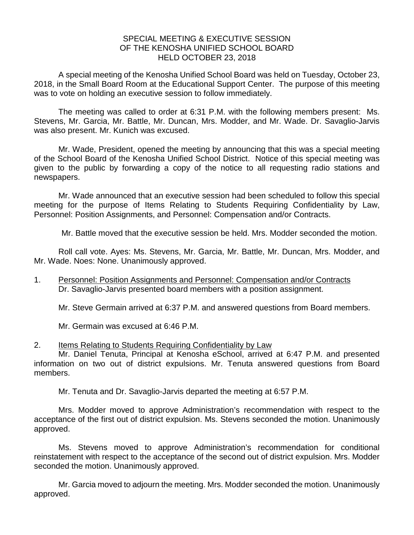## SPECIAL MEETING & EXECUTIVE SESSION OF THE KENOSHA UNIFIED SCHOOL BOARD HELD OCTOBER 23, 2018

A special meeting of the Kenosha Unified School Board was held on Tuesday, October 23, 2018, in the Small Board Room at the Educational Support Center. The purpose of this meeting was to vote on holding an executive session to follow immediately.

The meeting was called to order at 6:31 P.M. with the following members present: Ms. Stevens, Mr. Garcia, Mr. Battle, Mr. Duncan, Mrs. Modder, and Mr. Wade. Dr. Savaglio-Jarvis was also present. Mr. Kunich was excused.

Mr. Wade, President, opened the meeting by announcing that this was a special meeting of the School Board of the Kenosha Unified School District. Notice of this special meeting was given to the public by forwarding a copy of the notice to all requesting radio stations and newspapers.

Mr. Wade announced that an executive session had been scheduled to follow this special meeting for the purpose of Items Relating to Students Requiring Confidentiality by Law, Personnel: Position Assignments, and Personnel: Compensation and/or Contracts.

Mr. Battle moved that the executive session be held. Mrs. Modder seconded the motion.

Roll call vote. Ayes: Ms. Stevens, Mr. Garcia, Mr. Battle, Mr. Duncan, Mrs. Modder, and Mr. Wade. Noes: None. Unanimously approved.

1. Personnel: Position Assignments and Personnel: Compensation and/or Contracts Dr. Savaglio-Jarvis presented board members with a position assignment.

Mr. Steve Germain arrived at 6:37 P.M. and answered questions from Board members.

Mr. Germain was excused at 6:46 P.M.

## 2. Items Relating to Students Requiring Confidentiality by Law

Mr. Daniel Tenuta, Principal at Kenosha eSchool, arrived at 6:47 P.M. and presented information on two out of district expulsions. Mr. Tenuta answered questions from Board members.

Mr. Tenuta and Dr. Savaglio-Jarvis departed the meeting at 6:57 P.M.

Mrs. Modder moved to approve Administration's recommendation with respect to the acceptance of the first out of district expulsion. Ms. Stevens seconded the motion. Unanimously approved.

Ms. Stevens moved to approve Administration's recommendation for conditional reinstatement with respect to the acceptance of the second out of district expulsion. Mrs. Modder seconded the motion. Unanimously approved.

Mr. Garcia moved to adjourn the meeting. Mrs. Modder seconded the motion. Unanimously approved.